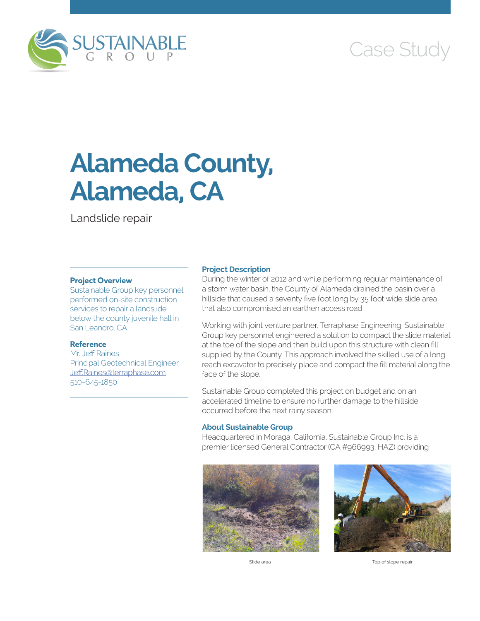

# Case Study

# **Alameda County, Alameda, CA**

Landslide repair

### **Project Overview**

Sustainable Group key personnel performed on-site construction services to repair a landslide below the county juvenile hall in San Leandro, CA.

#### **Reference**

Mr. Jeff Raines Principal Geotechnical Engineer [Jeff.Raines@terraphase.com](mailto:Jeff.Raines@terraphase.com) 510-645-1850

#### **Project Description**

During the winter of 2012 and while performing regular maintenance of a storm water basin, the County of Alameda drained the basin over a hillside that caused a seventy five foot long by 35 foot wide slide area that also compromised an earthen access road.

Working with joint venture partner, Terraphase Engineering, Sustainable Group key personnel engineered a solution to compact the slide material at the toe of the slope and then build upon this structure with clean fill supplied by the County. This approach involved the skilled use of a long reach excavator to precisely place and compact the fill material along the face of the slope.

Sustainable Group completed this project on budget and on an accelerated timeline to ensure no further damage to the hillside occurred before the next rainy season.

## **About Sustainable Group**

Headquartered in Moraga, California, Sustainable Group Inc. is a premier licensed General Contractor (CA #966993, HAZ) providing





Slide area **Top of slope repair**